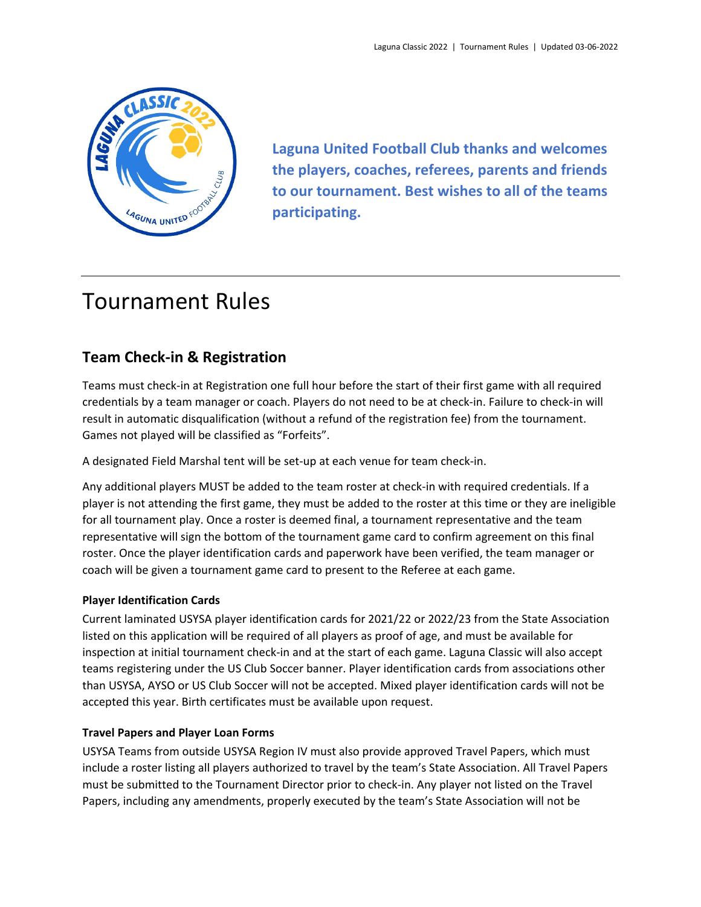

**Laguna United Football Club thanks and welcomes the players, coaches, referees, parents and friends to our tournament. Best wishes to all of the teams participating.**

# Tournament Rules

# **Team Check‐in & Registration**

Teams must check‐in at Registration one full hour before the start of their first game with all required credentials by a team manager or coach. Players do not need to be at check‐in. Failure to check‐in will result in automatic disqualification (without a refund of the registration fee) from the tournament. Games not played will be classified as "Forfeits".

A designated Field Marshal tent will be set‐up at each venue for team check‐in.

Any additional players MUST be added to the team roster at check‐in with required credentials. If a player is not attending the first game, they must be added to the roster at this time or they are ineligible for all tournament play. Once a roster is deemed final, a tournament representative and the team representative will sign the bottom of the tournament game card to confirm agreement on this final roster. Once the player identification cards and paperwork have been verified, the team manager or coach will be given a tournament game card to present to the Referee at each game.

#### **Player Identification Cards**

Current laminated USYSA player identification cards for 2021/22 or 2022/23 from the State Association listed on this application will be required of all players as proof of age, and must be available for inspection at initial tournament check‐in and at the start of each game. Laguna Classic will also accept teams registering under the US Club Soccer banner. Player identification cards from associations other than USYSA, AYSO or US Club Soccer will not be accepted. Mixed player identification cards will not be accepted this year. Birth certificates must be available upon request.

#### **Travel Papers and Player Loan Forms**

USYSA Teams from outside USYSA Region IV must also provide approved Travel Papers, which must include a roster listing all players authorized to travel by the team's State Association. All Travel Papers must be submitted to the Tournament Director prior to check‐in. Any player not listed on the Travel Papers, including any amendments, properly executed by the team's State Association will not be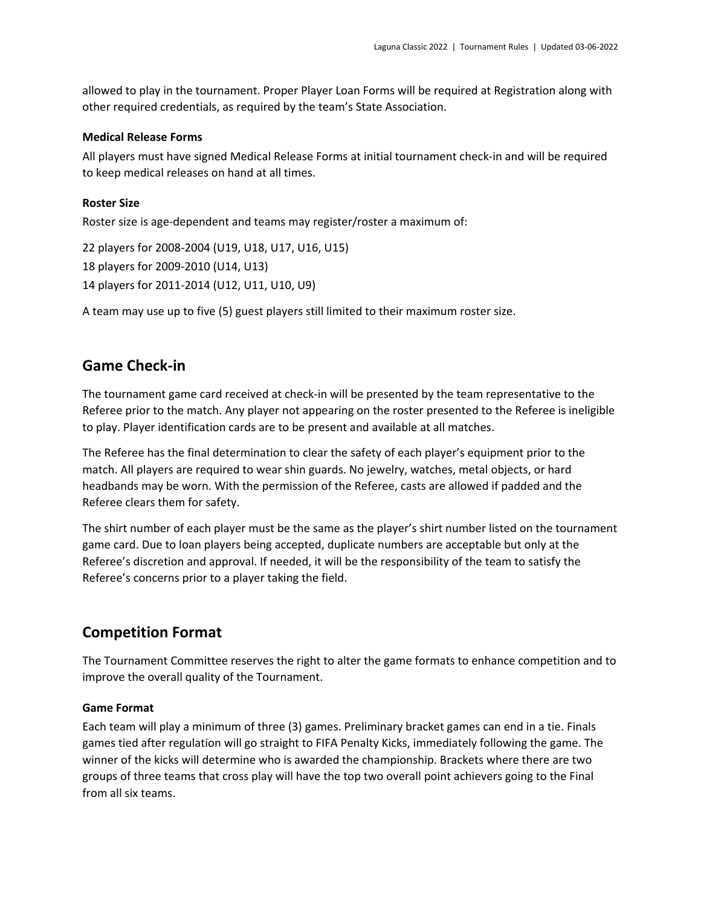allowed to play in the tournament. Proper Player Loan Forms will be required at Registration along with other required credentials, as required by the team's State Association.

#### **Medical Release Forms**

All players must have signed Medical Release Forms at initial tournament check‐in and will be required to keep medical releases on hand at all times.

#### **Roster Size**

Roster size is age-dependent and teams may register/roster a maximum of:

22 players for 2008‐2004 (U19, U18, U17, U16, U15) 18 players for 2009‐2010 (U14, U13) 14 players for 2011‐2014 (U12, U11, U10, U9)

A team may use up to five (5) guest players still limited to their maximum roster size.

### **Game Check‐in**

The tournament game card received at check-in will be presented by the team representative to the Referee prior to the match. Any player not appearing on the roster presented to the Referee is ineligible to play. Player identification cards are to be present and available at all matches.

The Referee has the final determination to clear the safety of each player's equipment prior to the match. All players are required to wear shin guards. No jewelry, watches, metal objects, or hard headbands may be worn. With the permission of the Referee, casts are allowed if padded and the Referee clears them for safety.

The shirt number of each player must be the same as the player's shirt number listed on the tournament game card. Due to loan players being accepted, duplicate numbers are acceptable but only at the Referee's discretion and approval. If needed, it will be the responsibility of the team to satisfy the Referee's concerns prior to a player taking the field.

# **Competition Format**

The Tournament Committee reserves the right to alter the game formats to enhance competition and to improve the overall quality of the Tournament.

#### **Game Format**

Each team will play a minimum of three (3) games. Preliminary bracket games can end in a tie. Finals games tied after regulation will go straight to FIFA Penalty Kicks, immediately following the game. The winner of the kicks will determine who is awarded the championship. Brackets where there are two groups of three teams that cross play will have the top two overall point achievers going to the Final from all six teams.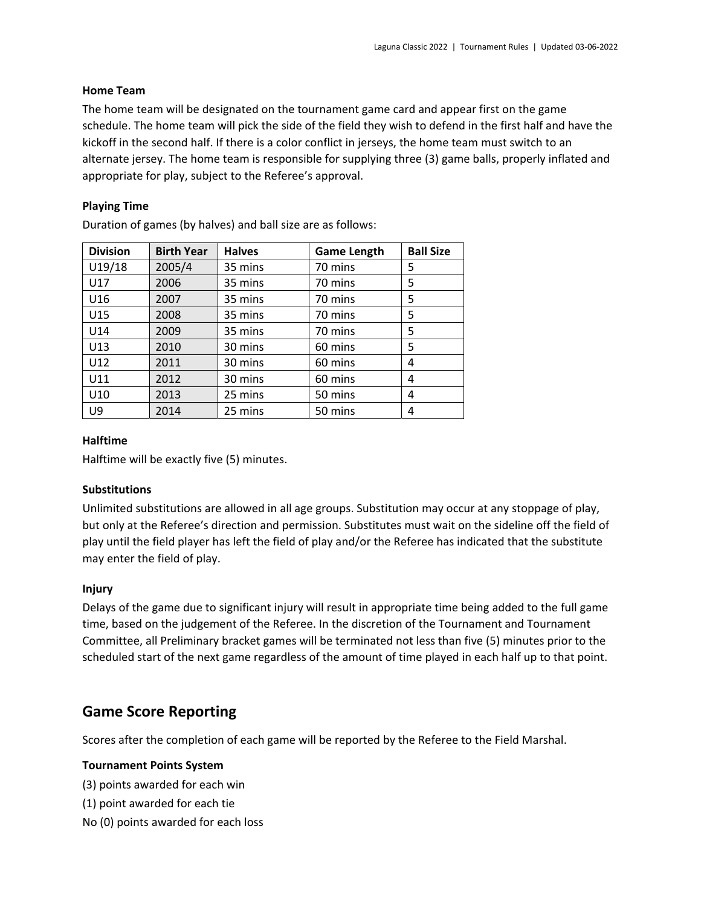#### **Home Team**

The home team will be designated on the tournament game card and appear first on the game schedule. The home team will pick the side of the field they wish to defend in the first half and have the kickoff in the second half. If there is a color conflict in jerseys, the home team must switch to an alternate jersey. The home team is responsible for supplying three (3) game balls, properly inflated and appropriate for play, subject to the Referee's approval.

#### **Playing Time**

| Duration of games (by halves) and ball size are as follows: |  |  |  |
|-------------------------------------------------------------|--|--|--|
|-------------------------------------------------------------|--|--|--|

| <b>Division</b> | <b>Birth Year</b> | <b>Halves</b> | <b>Game Length</b> | <b>Ball Size</b> |
|-----------------|-------------------|---------------|--------------------|------------------|
| U19/18          | 2005/4            | 35 mins       | 70 mins            | 5                |
| U17             | 2006              | 35 mins       | 70 mins            | 5                |
| U16             | 2007              | 35 mins       | 70 mins            | 5                |
| U15             | 2008              | 35 mins       | 70 mins            | 5                |
| U14             | 2009              | 35 mins       | 70 mins            | 5                |
| U13             | 2010              | 30 mins       | 60 mins            | 5                |
| U12             | 2011              | 30 mins       | 60 mins            | 4                |
| U11             | 2012              | 30 mins       | 60 mins            | 4                |
| U10             | 2013              | 25 mins       | 50 mins            | 4                |
| U9              | 2014              | 25 mins       | 50 mins            | 4                |

#### **Halftime**

Halftime will be exactly five (5) minutes.

#### **Substitutions**

Unlimited substitutions are allowed in all age groups. Substitution may occur at any stoppage of play, but only at the Referee's direction and permission. Substitutes must wait on the sideline off the field of play until the field player has left the field of play and/or the Referee has indicated that the substitute may enter the field of play.

#### **Injury**

Delays of the game due to significant injury will result in appropriate time being added to the full game time, based on the judgement of the Referee. In the discretion of the Tournament and Tournament Committee, all Preliminary bracket games will be terminated not less than five (5) minutes prior to the scheduled start of the next game regardless of the amount of time played in each half up to that point.

# **Game Score Reporting**

Scores after the completion of each game will be reported by the Referee to the Field Marshal.

#### **Tournament Points System**

(3) points awarded for each win

- (1) point awarded for each tie
- No (0) points awarded for each loss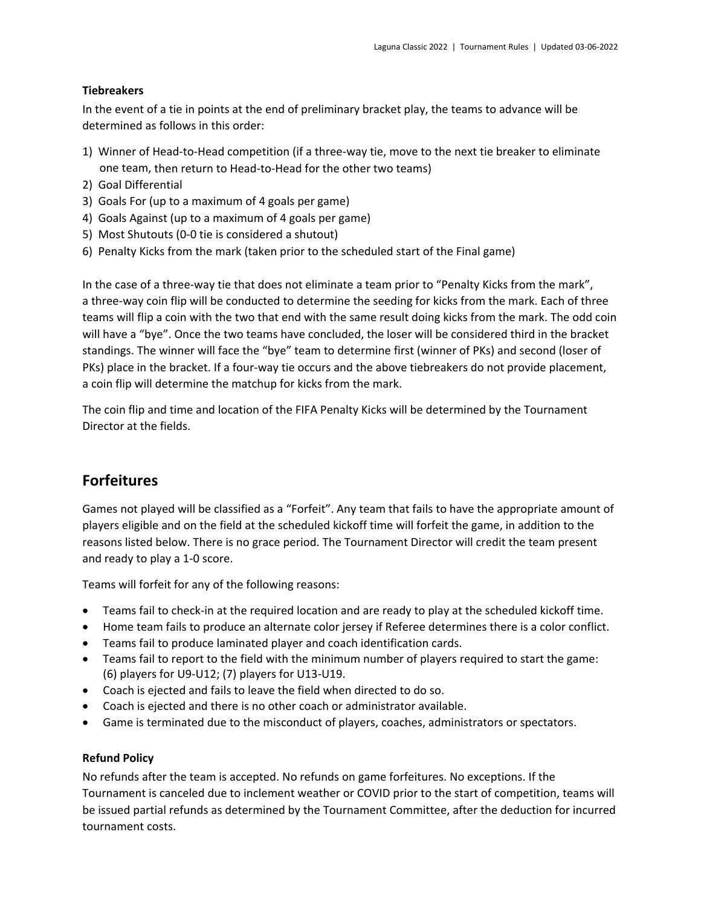#### **Tiebreakers**

In the event of a tie in points at the end of preliminary bracket play, the teams to advance will be determined as follows in this order:

- 1) Winner of Head‐to‐Head competition (if a three‐way tie, move to the next tie breaker to eliminate one team, then return to Head‐to‐Head for the other two teams)
- 2) Goal Differential
- 3) Goals For (up to a maximum of 4 goals per game)
- 4) Goals Against (up to a maximum of 4 goals per game)
- 5) Most Shutouts (0‐0 tie is considered a shutout)
- 6) Penalty Kicks from the mark (taken prior to the scheduled start of the Final game)

In the case of a three-way tie that does not eliminate a team prior to "Penalty Kicks from the mark", a three‐way coin flip will be conducted to determine the seeding for kicks from the mark. Each of three teams will flip a coin with the two that end with the same result doing kicks from the mark. The odd coin will have a "bye". Once the two teams have concluded, the loser will be considered third in the bracket standings. The winner will face the "bye" team to determine first (winner of PKs) and second (loser of PKs) place in the bracket. If a four‐way tie occurs and the above tiebreakers do not provide placement, a coin flip will determine the matchup for kicks from the mark.

The coin flip and time and location of the FIFA Penalty Kicks will be determined by the Tournament Director at the fields.

# **Forfeitures**

Games not played will be classified as a "Forfeit". Any team that fails to have the appropriate amount of players eligible and on the field at the scheduled kickoff time will forfeit the game, in addition to the reasons listed below. There is no grace period. The Tournament Director will credit the team present and ready to play a 1‐0 score.

Teams will forfeit for any of the following reasons:

- Teams fail to check-in at the required location and are ready to play at the scheduled kickoff time.
- Home team fails to produce an alternate color jersey if Referee determines there is a color conflict.
- Teams fail to produce laminated player and coach identification cards.
- Teams fail to report to the field with the minimum number of players required to start the game: (6) players for U9‐U12; (7) players for U13‐U19.
- Coach is ejected and fails to leave the field when directed to do so.
- Coach is ejected and there is no other coach or administrator available.
- Game is terminated due to the misconduct of players, coaches, administrators or spectators.

#### **Refund Policy**

No refunds after the team is accepted. No refunds on game forfeitures. No exceptions. If the Tournament is canceled due to inclement weather or COVID prior to the start of competition, teams will be issued partial refunds as determined by the Tournament Committee, after the deduction for incurred tournament costs.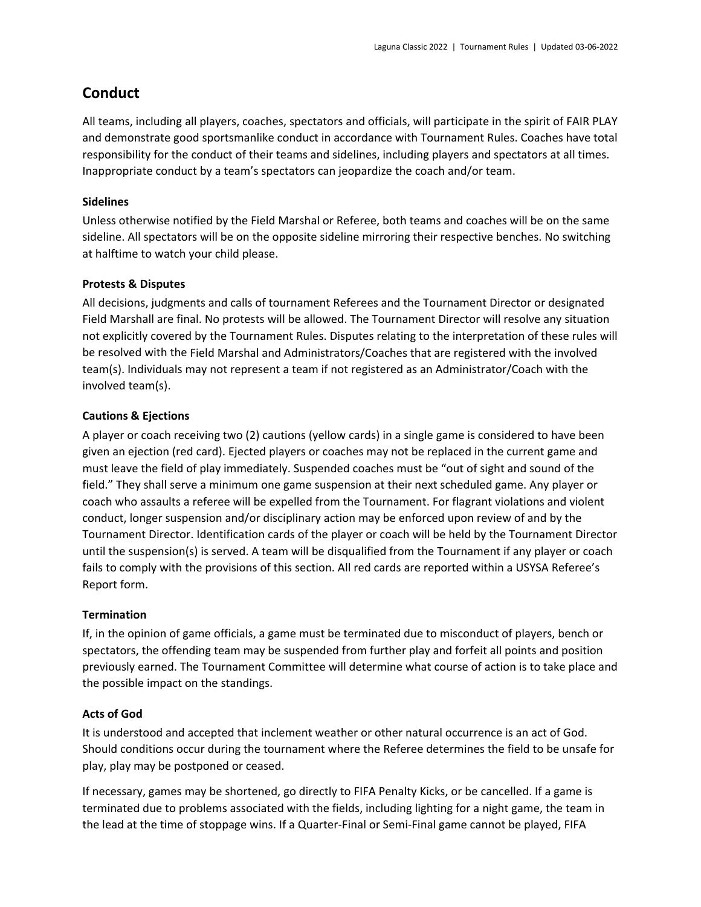# **Conduct**

All teams, including all players, coaches, spectators and officials, will participate in the spirit of FAIR PLAY and demonstrate good sportsmanlike conduct in accordance with Tournament Rules. Coaches have total responsibility for the conduct of their teams and sidelines, including players and spectators at all times. Inappropriate conduct by a team's spectators can jeopardize the coach and/or team.

#### **Sidelines**

Unless otherwise notified by the Field Marshal or Referee, both teams and coaches will be on the same sideline. All spectators will be on the opposite sideline mirroring their respective benches. No switching at halftime to watch your child please.

#### **Protests & Disputes**

All decisions, judgments and calls of tournament Referees and the Tournament Director or designated Field Marshall are final. No protests will be allowed. The Tournament Director will resolve any situation not explicitly covered by the Tournament Rules. Disputes relating to the interpretation of these rules will be resolved with the Field Marshal and Administrators/Coaches that are registered with the involved team(s). Individuals may not represent a team if not registered as an Administrator/Coach with the involved team(s).

#### **Cautions & Ejections**

A player or coach receiving two (2) cautions (yellow cards) in a single game is considered to have been given an ejection (red card). Ejected players or coaches may not be replaced in the current game and must leave the field of play immediately. Suspended coaches must be "out of sight and sound of the field." They shall serve a minimum one game suspension at their next scheduled game. Any player or coach who assaults a referee will be expelled from the Tournament. For flagrant violations and violent conduct, longer suspension and/or disciplinary action may be enforced upon review of and by the Tournament Director. Identification cards of the player or coach will be held by the Tournament Director until the suspension(s) is served. A team will be disqualified from the Tournament if any player or coach fails to comply with the provisions of this section. All red cards are reported within a USYSA Referee's Report form.

#### **Termination**

If, in the opinion of game officials, a game must be terminated due to misconduct of players, bench or spectators, the offending team may be suspended from further play and forfeit all points and position previously earned. The Tournament Committee will determine what course of action is to take place and the possible impact on the standings.

#### **Acts of God**

It is understood and accepted that inclement weather or other natural occurrence is an act of God. Should conditions occur during the tournament where the Referee determines the field to be unsafe for play, play may be postponed or ceased.

If necessary, games may be shortened, go directly to FIFA Penalty Kicks, or be cancelled. If a game is terminated due to problems associated with the fields, including lighting for a night game, the team in the lead at the time of stoppage wins. If a Quarter‐Final or Semi‐Final game cannot be played, FIFA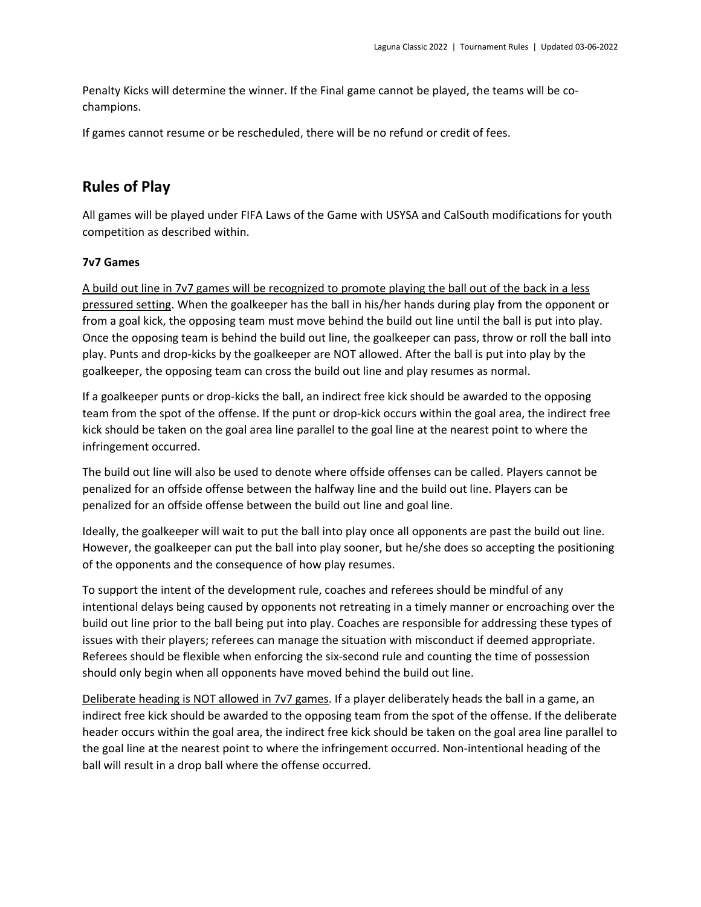Penalty Kicks will determine the winner. If the Final game cannot be played, the teams will be co‐ champions.

If games cannot resume or be rescheduled, there will be no refund or credit of fees.

# **Rules of Play**

All games will be played under FIFA Laws of the Game with USYSA and CalSouth modifications for youth competition as described within.

#### **7v7 Games**

A build out line in 7v7 games will be recognized to promote playing the ball out of the back in a less pressured setting. When the goalkeeper has the ball in his/her hands during play from the opponent or from a goal kick, the opposing team must move behind the build out line until the ball is put into play. Once the opposing team is behind the build out line, the goalkeeper can pass, throw or roll the ball into play. Punts and drop‐kicks by the goalkeeper are NOT allowed. After the ball is put into play by the goalkeeper, the opposing team can cross the build out line and play resumes as normal.

If a goalkeeper punts or drop‐kicks the ball, an indirect free kick should be awarded to the opposing team from the spot of the offense. If the punt or drop‐kick occurs within the goal area, the indirect free kick should be taken on the goal area line parallel to the goal line at the nearest point to where the infringement occurred.

The build out line will also be used to denote where offside offenses can be called. Players cannot be penalized for an offside offense between the halfway line and the build out line. Players can be penalized for an offside offense between the build out line and goal line.

Ideally, the goalkeeper will wait to put the ball into play once all opponents are past the build out line. However, the goalkeeper can put the ball into play sooner, but he/she does so accepting the positioning of the opponents and the consequence of how play resumes.

To support the intent of the development rule, coaches and referees should be mindful of any intentional delays being caused by opponents not retreating in a timely manner or encroaching over the build out line prior to the ball being put into play. Coaches are responsible for addressing these types of issues with their players; referees can manage the situation with misconduct if deemed appropriate. Referees should be flexible when enforcing the six‐second rule and counting the time of possession should only begin when all opponents have moved behind the build out line.

Deliberate heading is NOT allowed in 7v7 games. If a player deliberately heads the ball in a game, an indirect free kick should be awarded to the opposing team from the spot of the offense. If the deliberate header occurs within the goal area, the indirect free kick should be taken on the goal area line parallel to the goal line at the nearest point to where the infringement occurred. Non-intentional heading of the ball will result in a drop ball where the offense occurred.